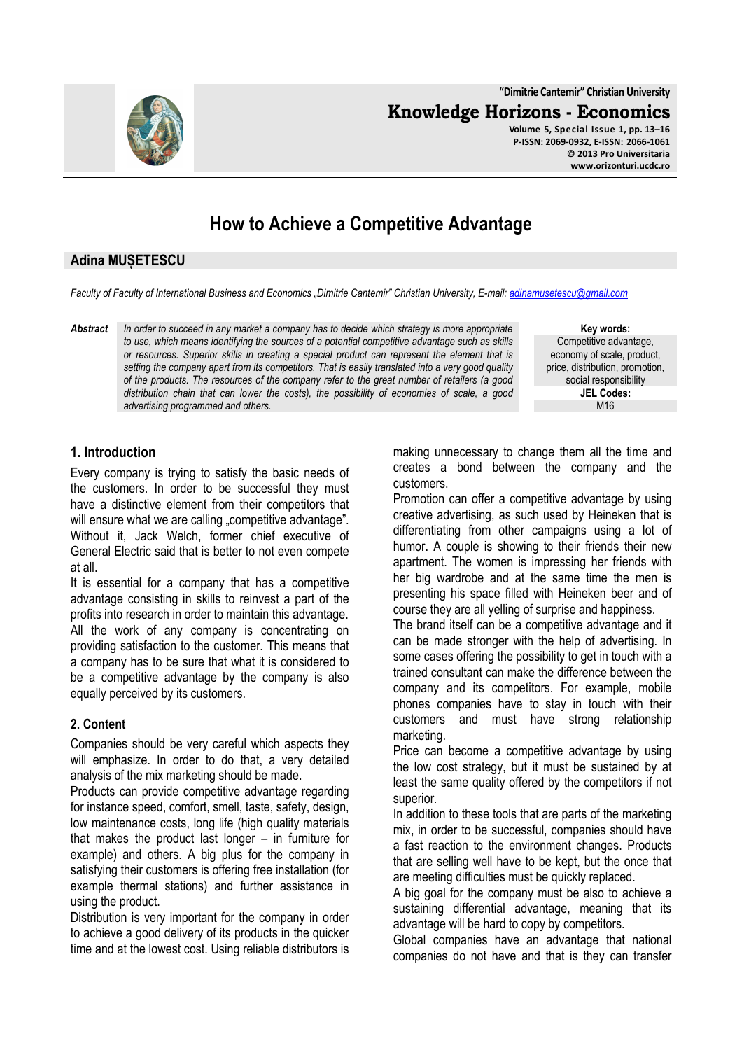**"Dimitrie Cantemir" Christian University**

**Knowledge Horizons - Economics**

**Volume 5, Special Issue 1, pp. 13–16 P-ISSN: 2069-0932, E-ISSN: 2066-1061 © 2013 Pro Universitaria www.orizonturi.ucdc.ro**

# **How to Achieve a Competitive Advantage**

## **Adina MUȘETESCU**

*Faculty of Faculty of International Business and Economics "Dimitrie Cantemir" Christian University, E-mail: adinamusetescu@gmail.com*

*Abstract In order to succeed in any market a company has to decide which strategy is more appropriate to use, which means identifying the sources of a potential competitive advantage such as skills or resources. Superior skills in creating a special product can represent the element that is setting the company apart from its competitors. That is easily translated into a very good quality of the products. The resources of the company refer to the great number of retailers (a good distribution chain that can lower the costs), the possibility of economies of scale, a good advertising programmed and others.* 

**Key words:** Competitive advantage, economy of scale, product, price, distribution, promotion, social responsibility **JEL Codes:** M16

# **1. Introduction**

Every company is trying to satisfy the basic needs of the customers. In order to be successful they must have a distinctive element from their competitors that will ensure what we are calling "competitive advantage". Without it, Jack Welch, former chief executive of General Electric said that is better to not even compete at all.

It is essential for a company that has a competitive advantage consisting in skills to reinvest a part of the profits into research in order to maintain this advantage. All the work of any company is concentrating on providing satisfaction to the customer. This means that a company has to be sure that what it is considered to be a competitive advantage by the company is also equally perceived by its customers.

#### **2. Content**

Companies should be very careful which aspects they will emphasize. In order to do that, a very detailed analysis of the mix marketing should be made.

Products can provide competitive advantage regarding for instance speed, comfort, smell, taste, safety, design, low maintenance costs, long life (high quality materials that makes the product last longer – in furniture for example) and others. A big plus for the company in satisfying their customers is offering free installation (for example thermal stations) and further assistance in using the product.

Distribution is very important for the company in order to achieve a good delivery of its products in the quicker time and at the lowest cost. Using reliable distributors is making unnecessary to change them all the time and creates a bond between the company and the customers.

Promotion can offer a competitive advantage by using creative advertising, as such used by Heineken that is differentiating from other campaigns using a lot of humor. A couple is showing to their friends their new apartment. The women is impressing her friends with her big wardrobe and at the same time the men is presenting his space filled with Heineken beer and of course they are all yelling of surprise and happiness.

The brand itself can be a competitive advantage and it can be made stronger with the help of advertising. In some cases offering the possibility to get in touch with a trained consultant can make the difference between the company and its competitors. For example, mobile phones companies have to stay in touch with their customers and must have strong relationship marketing.

Price can become a competitive advantage by using the low cost strategy, but it must be sustained by at least the same quality offered by the competitors if not superior.

In addition to these tools that are parts of the marketing mix, in order to be successful, companies should have a fast reaction to the environment changes. Products that are selling well have to be kept, but the once that are meeting difficulties must be quickly replaced.

A big goal for the company must be also to achieve a sustaining differential advantage, meaning that its advantage will be hard to copy by competitors.

Global companies have an advantage that national companies do not have and that is they can transfer

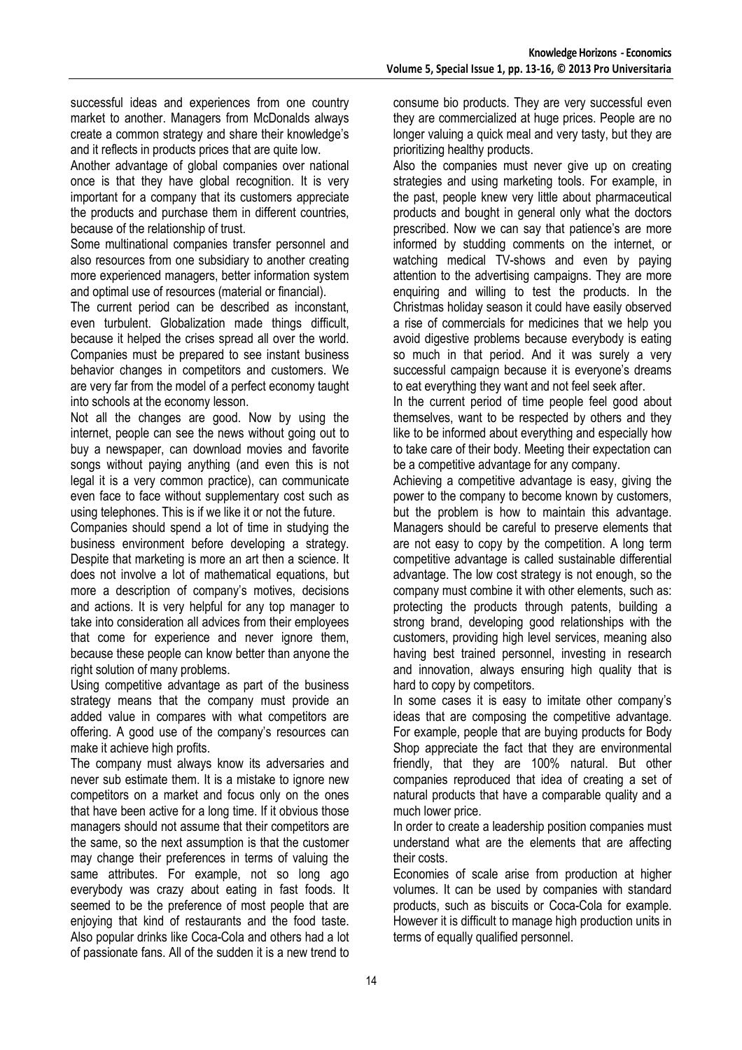successful ideas and experiences from one country market to another. Managers from McDonalds always create a common strategy and share their knowledge's and it reflects in products prices that are quite low.

Another advantage of global companies over national once is that they have global recognition. It is very important for a company that its customers appreciate the products and purchase them in different countries, because of the relationship of trust.

Some multinational companies transfer personnel and also resources from one subsidiary to another creating more experienced managers, better information system and optimal use of resources (material or financial).

The current period can be described as inconstant, even turbulent. Globalization made things difficult, because it helped the crises spread all over the world. Companies must be prepared to see instant business behavior changes in competitors and customers. We are very far from the model of a perfect economy taught into schools at the economy lesson.

Not all the changes are good. Now by using the internet, people can see the news without going out to buy a newspaper, can download movies and favorite songs without paying anything (and even this is not legal it is a very common practice), can communicate even face to face without supplementary cost such as using telephones. This is if we like it or not the future.

Companies should spend a lot of time in studying the business environment before developing a strategy. Despite that marketing is more an art then a science. It does not involve a lot of mathematical equations, but more a description of company's motives, decisions and actions. It is very helpful for any top manager to take into consideration all advices from their employees that come for experience and never ignore them, because these people can know better than anyone the right solution of many problems.

Using competitive advantage as part of the business strategy means that the company must provide an added value in compares with what competitors are offering. A good use of the company's resources can make it achieve high profits.

The company must always know its adversaries and never sub estimate them. It is a mistake to ignore new competitors on a market and focus only on the ones that have been active for a long time. If it obvious those managers should not assume that their competitors are the same, so the next assumption is that the customer may change their preferences in terms of valuing the same attributes. For example, not so long ago everybody was crazy about eating in fast foods. It seemed to be the preference of most people that are enjoying that kind of restaurants and the food taste. Also popular drinks like Coca-Cola and others had a lot of passionate fans. All of the sudden it is a new trend to

consume bio products. They are very successful even they are commercialized at huge prices. People are no longer valuing a quick meal and very tasty, but they are prioritizing healthy products.

Also the companies must never give up on creating strategies and using marketing tools. For example, in the past, people knew very little about pharmaceutical products and bought in general only what the doctors prescribed. Now we can say that patience's are more informed by studding comments on the internet, or watching medical TV-shows and even by paying attention to the advertising campaigns. They are more enquiring and willing to test the products. In the Christmas holiday season it could have easily observed a rise of commercials for medicines that we help you avoid digestive problems because everybody is eating so much in that period. And it was surely a very successful campaign because it is everyone's dreams to eat everything they want and not feel seek after.

In the current period of time people feel good about themselves, want to be respected by others and they like to be informed about everything and especially how to take care of their body. Meeting their expectation can be a competitive advantage for any company.

Achieving a competitive advantage is easy, giving the power to the company to become known by customers, but the problem is how to maintain this advantage. Managers should be careful to preserve elements that are not easy to copy by the competition. A long term competitive advantage is called sustainable differential advantage. The low cost strategy is not enough, so the company must combine it with other elements, such as: protecting the products through patents, building a strong brand, developing good relationships with the customers, providing high level services, meaning also having best trained personnel, investing in research and innovation, always ensuring high quality that is hard to copy by competitors.

In some cases it is easy to imitate other company's ideas that are composing the competitive advantage. For example, people that are buying products for Body Shop appreciate the fact that they are environmental friendly, that they are 100% natural. But other companies reproduced that idea of creating a set of natural products that have a comparable quality and a much lower price.

In order to create a leadership position companies must understand what are the elements that are affecting their costs.

Economies of scale arise from production at higher volumes. It can be used by companies with standard products, such as biscuits or Coca-Cola for example. However it is difficult to manage high production units in terms of equally qualified personnel.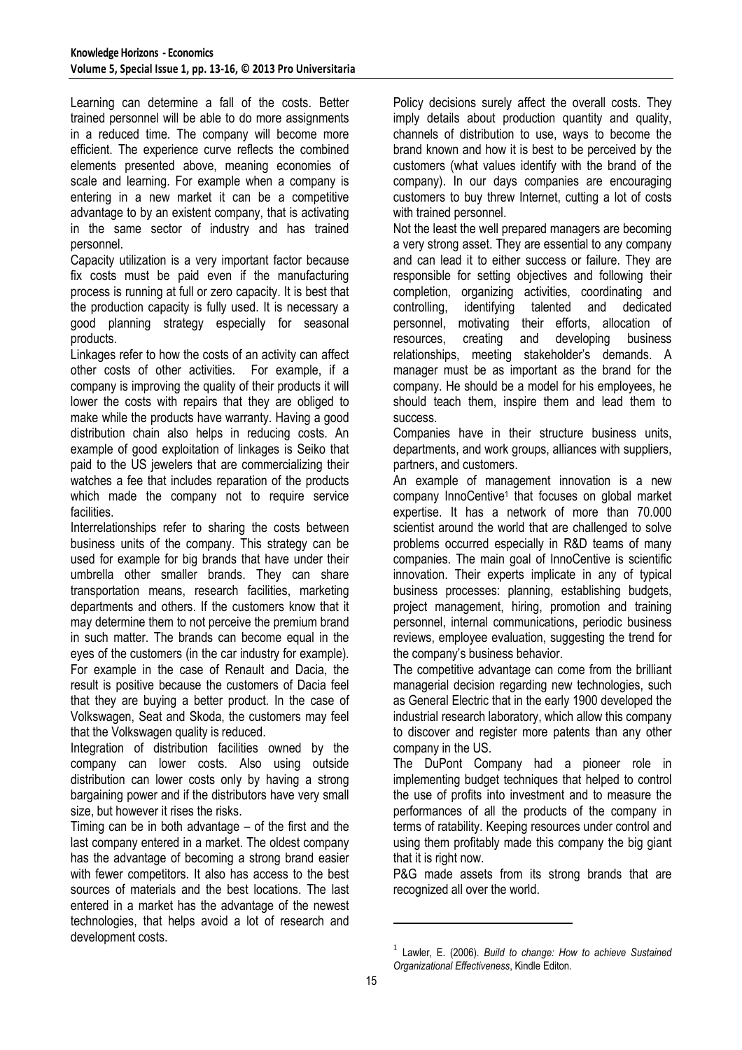Learning can determine a fall of the costs. Better trained personnel will be able to do more assignments in a reduced time. The company will become more efficient. The experience curve reflects the combined elements presented above, meaning economies of scale and learning. For example when a company is entering in a new market it can be a competitive advantage to by an existent company, that is activating in the same sector of industry and has trained personnel.

Capacity utilization is a very important factor because fix costs must be paid even if the manufacturing process is running at full or zero capacity. It is best that the production capacity is fully used. It is necessary a good planning strategy especially for seasonal products.

Linkages refer to how the costs of an activity can affect other costs of other activities. For example, if a company is improving the quality of their products it will lower the costs with repairs that they are obliged to make while the products have warranty. Having a good distribution chain also helps in reducing costs. An example of good exploitation of linkages is Seiko that paid to the US jewelers that are commercializing their watches a fee that includes reparation of the products which made the company not to require service facilities.

Interrelationships refer to sharing the costs between business units of the company. This strategy can be used for example for big brands that have under their umbrella other smaller brands. They can share transportation means, research facilities, marketing departments and others. If the customers know that it may determine them to not perceive the premium brand in such matter. The brands can become equal in the eyes of the customers (in the car industry for example). For example in the case of Renault and Dacia, the result is positive because the customers of Dacia feel that they are buying a better product. In the case of Volkswagen, Seat and Skoda, the customers may feel that the Volkswagen quality is reduced.

Integration of distribution facilities owned by the company can lower costs. Also using outside distribution can lower costs only by having a strong bargaining power and if the distributors have very small size, but however it rises the risks.

Timing can be in both advantage – of the first and the last company entered in a market. The oldest company has the advantage of becoming a strong brand easier with fewer competitors. It also has access to the best sources of materials and the best locations. The last entered in a market has the advantage of the newest technologies, that helps avoid a lot of research and development costs.

Policy decisions surely affect the overall costs. They imply details about production quantity and quality, channels of distribution to use, ways to become the brand known and how it is best to be perceived by the customers (what values identify with the brand of the company). In our days companies are encouraging customers to buy threw Internet, cutting a lot of costs with trained personnel.

Not the least the well prepared managers are becoming a very strong asset. They are essential to any company and can lead it to either success or failure. They are responsible for setting objectives and following their completion, organizing activities, coordinating and controlling, identifying talented and dedicated personnel, motivating their efforts, allocation of resources, creating and developing business relationships, meeting stakeholder's demands. A manager must be as important as the brand for the company. He should be a model for his employees, he should teach them, inspire them and lead them to success.

Companies have in their structure business units, departments, and work groups, alliances with suppliers, partners, and customers.

An example of management innovation is a new company InnoCentive<sup>1</sup> that focuses on global market expertise. It has a network of more than 70.000 scientist around the world that are challenged to solve problems occurred especially in R&D teams of many companies. The main goal of InnoCentive is scientific innovation. Their experts implicate in any of typical business processes: planning, establishing budgets, project management, hiring, promotion and training personnel, internal communications, periodic business reviews, employee evaluation, suggesting the trend for the company's business behavior.

The competitive advantage can come from the brilliant managerial decision regarding new technologies, such as General Electric that in the early 1900 developed the industrial research laboratory, which allow this company to discover and register more patents than any other company in the US.

The DuPont Company had a pioneer role in implementing budget techniques that helped to control the use of profits into investment and to measure the performances of all the products of the company in terms of ratability. Keeping resources under control and using them profitably made this company the big giant that it is right now.

P&G made assets from its strong brands that are recognized all over the world.

 $\overline{a}$ 

<sup>1</sup> Lawler, E. (2006). *Build to change: How to achieve Sustained Organizational Effectiveness*, Kindle Editon.